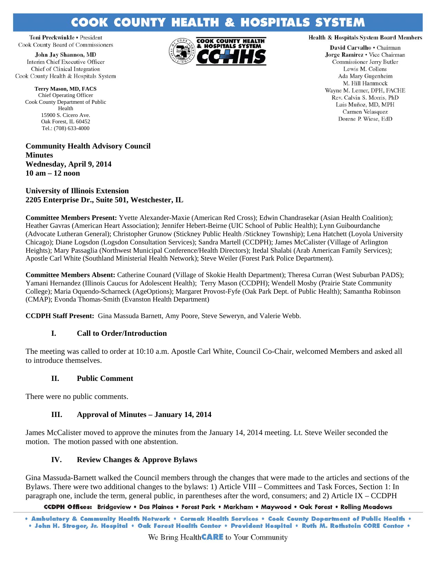# **COOK COUNTY HEALTH & HOSPITALS SYSTEM**

Toni Preckwinkle • President Cook County Board of Commissioners

**John Jay Shannon, MD** Interim Chief Executive Officer Chief of Clinical Integration Cook County Health & Hospitals System

**Terry Mason, MD, FACS**  Chief Operating Officer Cook County Department of Public Health 15900 S. Cicero Ave. Oak Forest, IL 60452 Tel.: (708) 633-4000

**Community Health Advisory Council Minutes Wednesday, April 9, 2014 10 am – 12 noon** 

**University of Illinois Extension 2205 Enterprise Dr., Suite 501, Westchester, IL** 

**Committee Members Present:** Yvette Alexander-Maxie (American Red Cross); Edwin Chandrasekar (Asian Health Coalition); Heather Gavras (American Heart Association); Jennifer Hebert-Beirne (UIC School of Public Health); Lynn Guibourdanche (Advocate Lutheran General); Christopher Grunow (Stickney Public Health /Stickney Township); Lena Hatchett (Loyola University Chicago); Diane Logsdon (Logsdon Consultation Services); Sandra Martell (CCDPH); James McCalister (Village of Arlington Heights); Mary Passaglia (Northwest Municipal Conference/Health Directors); Itedal Shalabi (Arab American Family Services); Apostle Carl White (Southland Ministerial Health Network); Steve Weiler (Forest Park Police Department).

**Committee Members Absent:** Catherine Counard (Village of Skokie Health Department); Theresa Curran (West Suburban PADS); Yamani Hernandez (Illinois Caucus for Adolescent Health); Terry Mason (CCDPH); Wendell Mosby (Prairie State Community College); Maria Oquendo-Scharneck (AgeOptions); Margaret Provost-Fyfe (Oak Park Dept. of Public Health); Samantha Robinson (CMAP); Evonda Thomas-Smith (Evanston Health Department)

**CCDPH Staff Present:** Gina Massuda Barnett, Amy Poore, Steve Seweryn, and Valerie Webb.

# **I. Call to Order/Introduction**

The meeting was called to order at 10:10 a.m. Apostle Carl White, Council Co-Chair, welcomed Members and asked all to introduce themselves.

# **II. Public Comment**

There were no public comments.

# **III. Approval of Minutes – January 14, 2014**

James McCalister moved to approve the minutes from the January 14, 2014 meeting. Lt. Steve Weiler seconded the motion. The motion passed with one abstention.

# **IV. Review Changes & Approve Bylaws**

Gina Massuda-Barnett walked the Council members through the changes that were made to the articles and sections of the Bylaws. There were two additional changes to the bylaws: 1) Article VIII – Committees and Task Forces, Section 1: In paragraph one, include the term, general public, in parentheses after the word, consumers; and 2) Article IX – CCDPH

CCDPH Offices: Bridgeview . Des Plaines . Forest Park . Markham . Maywood . Oak Forest . Rolling Meadows



### **Health & Hospitals System Board Members**

David Carvalho . Chairman Jorge Ramirez . Vice Chairman Commissioner Jerry Butler Lewis M. Collens Ada Mary Gugenheim M. Hill Hammock Wayne M. Lerner, DPH, FACHE Rev. Calvin S. Morris, PhD Luis Muñoz, MD, MPH Carmen Velasquez Dorene P. Wiese, EdD

<sup>.</sup> Ambulatory & Community Health Network . Cermak Health Services . Cook County Department of Public Health . . John H. Stroger, Jr. Hospital • Oak Forest Health Center • Provident Hospital • Ruth M. Rothstein CORE Center •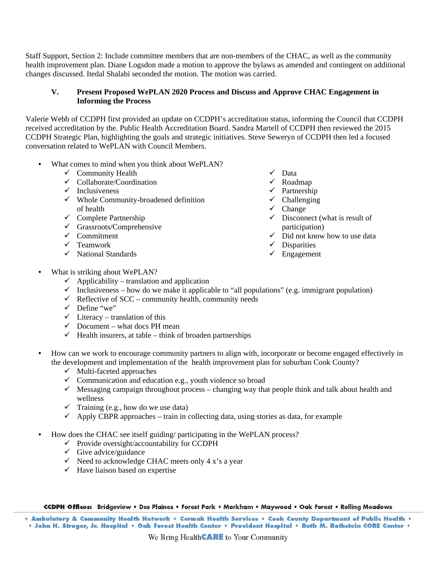Staff Support, Section 2: Include committee members that are non-members of the CHAC, as well as the community health improvement plan. Diane Logsdon made a motion to approve the bylaws as amended and contingent on additional changes discussed. Itedal Shalabi seconded the motion. The motion was carried.

## **V. Present Proposed WePLAN 2020 Process and Discuss and Approve CHAC Engagement in Informing the Process**

Valerie Webb of CCDPH first provided an update on CCDPH's accreditation status, informing the Council that CCDPH received accreditation by the. Public Health Accreditation Board. Sandra Martell of CCDPH then reviewed the 2015 CCDPH Strategic Plan, highlighting the goals and strategic initiatives. Steve Seweryn of CCDPH then led a focused conversation related to WePLAN with Council Members.

- What comes to mind when you think about WePLAN?
	- $\checkmark$  Community Health
	- $\checkmark$  Collaborate/Coordination
	- $\checkmark$  Inclusiveness
	- $\checkmark$  Whole Community-broadened definition of health
	- $\checkmark$  Complete Partnership
	- $\checkmark$  Grassroots/Comprehensive
	- $\checkmark$  Commitment
	- $\checkmark$  Teamwork
	- $\checkmark$  National Standards
- $\checkmark$  Data
- $\checkmark$  Roadmap
- $\checkmark$  Partnership
- $\checkmark$  Challenging
- $\checkmark$  Change
- $\checkmark$  Disconnect (what is result of participation)
- $\checkmark$  Did not know how to use data
- $\checkmark$  Disparities
- $\checkmark$  Engagement

- What is striking about WePLAN?
	- $\checkmark$  Applicability translation and application
	- $\checkmark$  Inclusiveness how do we make it applicable to "all populations" (e.g. immigrant population)
	- $\checkmark$  Reflective of SCC community health, community needs
	- $\checkmark$  Define "we"
	- $\checkmark$  Literacy translation of this
	- $\checkmark$  Document what docs PH mean
	- $\checkmark$  Health insurers, at table think of broaden partnerships
- How can we work to encourage community partners to align with, incorporate or become engaged effectively in the development and implementation of the health improvement plan for suburban Cook County?
	- $\checkmark$  Multi-faceted approaches
	- $\checkmark$  Communication and education e.g., youth violence so broad
	- $\checkmark$  Messaging campaign throughout process changing way that people think and talk about health and wellness
	- $\checkmark$  Training (e.g., how do we use data)
	- $\checkmark$  Apply CBPR approaches train in collecting data, using stories as data, for example
- How does the CHAC see itself guiding/ participating in the WePLAN process?
	- $\checkmark$  Provide oversight/accountability for CCDPH
	- $\checkmark$  Give advice/guidance
	- $\checkmark$  Need to acknowledge CHAC meets only 4 x's a year
	- $\checkmark$  Have liaison based on expertise

CCDPH Offices: Bridgeview . Des Plaines . Forest Park . Markham . Maywood . Oak Forest . Rolling Meadows

. Ambulatory & Community Health Network . Cermak Health Services . Cook County Department of Public Health . . John H. Stroger, Jr. Hospital • Oak Forest Health Center • Provident Hospital • Ruth M. Rothstein CORE Center •